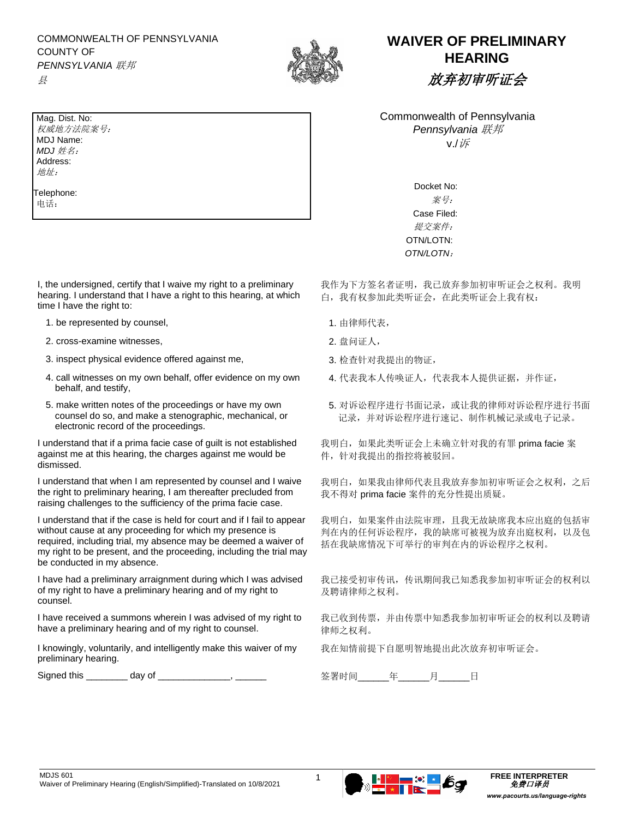COMMONWEALTH OF PENNSYLVANIA COUNTY OF *PENNSYLVANIA* 联邦



## **WAIVER OF PRELIMINARY HEARING** 放弃初审听证会

Commonwealth of Pennsylvania *Pennsylvania* 联邦 v./诉

> Docket No: 案号: Case Filed: 提交案件: OTN/LOTN: *OTN/LOTN*:

我作为下方签名者证明,我已放弃参加初审听证会之权利。我明 白,我有权参加此类听证会,在此类听证会上我有权:

- 
- 
- 
- 4. 代表我本人传唤证人,代表我本人提供证据,并作证,
- 5. 对诉讼程序进行书面记录,或让我的律师对诉讼程序进行书面 记录,并对诉讼程序进行速记、制作机械记录或电子记录。

我明白,如果此类听证会上未确立针对我的有罪 prima facie 案 件,针对我提出的指控将被驳回。

我明白,如果我由律师代表且我放弃参加初审听证会之权利,之后 我不得对 prima facie 案件的充分性提出质疑。

我明白,如果案件由法院审理,且我无故缺席我本应出庭的包括审 判在内的任何诉讼程序,我的缺席可被视为放弃出庭权利,以及包 括在我缺席情况下可举行的审判在内的诉讼程序之权利。

我已接受初审传讯,传讯期间我已知悉我参加初审听证会的权利以 及聘请律师之权利。

我已收到传票,并由传票中知悉我参加初审听证会的权利以及聘请 律师之权利。

我在知情前提下自愿明智地提出此次放弃初审听证会。

Mag. Dist. No: 权威地方法院案号: MDJ Name: *MDJ* 姓名: Address: 地址:

Telephone: 电话:

县

I, the undersigned, certify that I waive my right to a preliminary hearing. I understand that I have a right to this hearing, at which time I have the right to:

- 1. be represented by counsel, the community of the control of the control of the control of the control of the control of the control of the control of the control of the control of the control of the control of the contr
- 2. cross-examine witnesses, the control of the cross-examine witnesses, the control of the control of the control of the control of the control of the control of the control of the control of the control of the control of
- 3. inspect physical evidence offered against me,  $3.$  检查针对我提出的物证,
- 4. call witnesses on my own behalf, offer evidence on my own behalf, and testify,
- 5. make written notes of the proceedings or have my own counsel do so, and make a stenographic, mechanical, or electronic record of the proceedings.

I understand that if a prima facie case of guilt is not established against me at this hearing, the charges against me would be dismissed.

I understand that when I am represented by counsel and I waive the right to preliminary hearing, I am thereafter precluded from raising challenges to the sufficiency of the prima facie case.

I understand that if the case is held for court and if I fail to appear without cause at any proceeding for which my presence is required, including trial, my absence may be deemed a waiver of my right to be present, and the proceeding, including the trial may be conducted in my absence.

I have had a preliminary arraignment during which I was advised of my right to have a preliminary hearing and of my right to counsel.

I have received a summons wherein I was advised of my right to have a preliminary hearing and of my right to counsel.

I knowingly, voluntarily, and intelligently make this waiver of my preliminary hearing.

Signed this \_\_\_\_\_\_\_\_ day of \_\_\_\_\_\_\_\_\_\_\_\_\_\_, \_\_\_\_\_\_\_ 签署时间 年 月 日